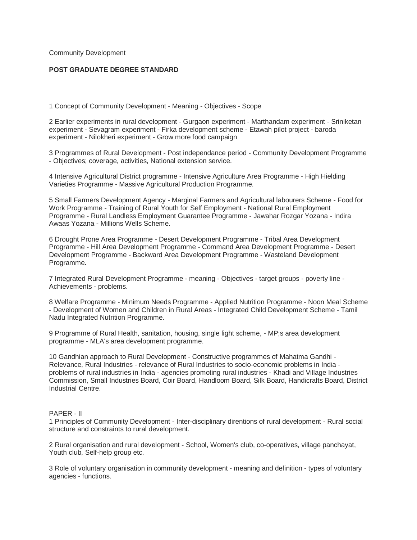Community Development

## **POST GRADUATE DEGREE STANDARD**

1 Concept of Community Development - Meaning - Objectives - Scope

2 Earlier experiments in rural development - Gurgaon experiment - Marthandam experiment - Sriniketan experiment - Sevagram experiment - Firka development scheme - Etawah pilot project - baroda experiment - Nilokheri experiment - Grow more food campaign

3 Programmes of Rural Development - Post independance period - Community Development Programme - Objectives; coverage, activities, National extension service.

4 Intensive Agricultural District programme - Intensive Agriculture Area Programme - High Hielding Varieties Programme - Massive Agricultural Production Programme.

5 Small Farmers Development Agency - Marginal Farmers and Agricultural labourers Scheme - Food for Work Programme - Training of Rural Youth for Self Employment - National Rural Employment Programme - Rural Landless Employment Guarantee Programme - Jawahar Rozgar Yozana - Indira Awaas Yozana - Millions Wells Scheme.

6 Drought Prone Area Programme - Desert Development Programme - Tribal Area Development Programme - Hill Area Development Programme - Command Area Development Programme - Desert Development Programme - Backward Area Development Programme - Wasteland Development Programme.

7 Integrated Rural Development Programme - meaning - Objectives - target groups - poverty line - Achievements - problems.

8 Welfare Programme - Minimum Needs Programme - Applied Nutrition Programme - Noon Meal Scheme - Development of Women and Children in Rural Areas - Integrated Child Development Scheme - Tamil Nadu Integrated Nutrition Programme.

9 Programme of Rural Health, sanitation, housing, single light scheme, - MP;s area development programme - MLA's area development programme.

10 Gandhian approach to Rural Development - Constructive programmes of Mahatma Gandhi - Relevance, Rural Industries - relevance of Rural Industries to socio-economic problems in India problems of rural industries in India - agencies promoting rural industries - Khadi and Village Industries Commission, Small Industries Board, Coir Board, Handloom Board, Silk Board, Handicrafts Board, District Industrial Centre.

## PAPER - II

1 Principles of Community Development - Inter-disciplinary direntions of rural development - Rural social structure and constraints to rural development.

2 Rural organisation and rural development - School, Women's club, co-operatives, village panchayat, Youth club, Self-help group etc.

3 Role of voluntary organisation in community development - meaning and definition - types of voluntary agencies - functions.